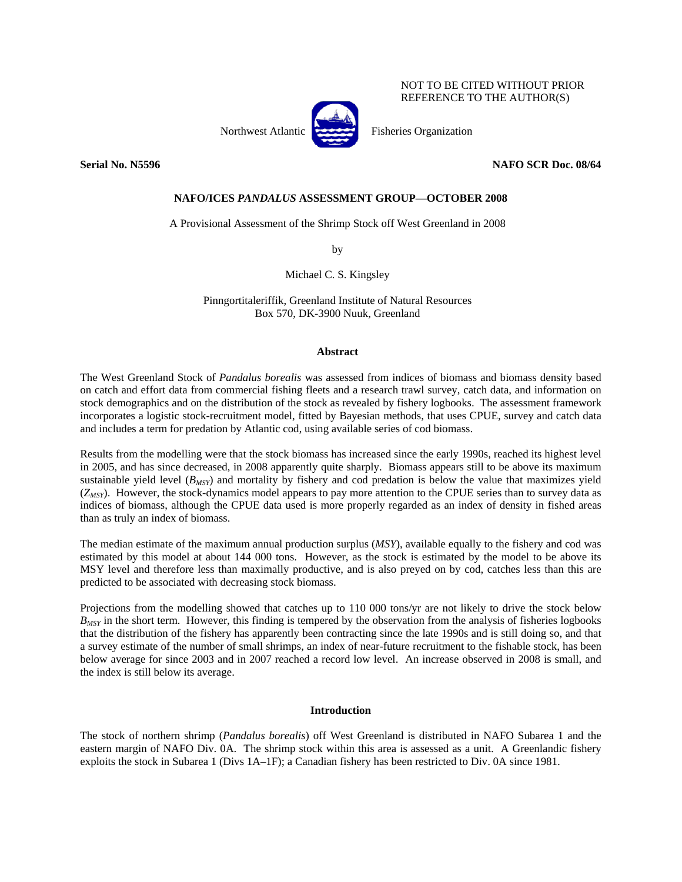# NOT TO BE CITED WITHOUT PRIOR REFERENCE TO THE AUTHOR(S)



Northwest Atlantic Fisheries Organization

# **NAFO/ICES** *PANDALUS* **ASSESSMENT GROUP—OCTOBER 2008**

A Provisional Assessment of the Shrimp Stock off West Greenland in 2008

by

Michael C. S. Kingsley

Pinngortitaleriffik, Greenland Institute of Natural Resources Box 570, DK-3900 Nuuk, Greenland

## **Abstract**

The West Greenland Stock of *Pandalus borealis* was assessed from indices of biomass and biomass density based on catch and effort data from commercial fishing fleets and a research trawl survey, catch data, and information on stock demographics and on the distribution of the stock as revealed by fishery logbooks. The assessment framework incorporates a logistic stock-recruitment model, fitted by Bayesian methods, that uses CPUE, survey and catch data and includes a term for predation by Atlantic cod, using available series of cod biomass.

Results from the modelling were that the stock biomass has increased since the early 1990s, reached its highest level in 2005, and has since decreased, in 2008 apparently quite sharply. Biomass appears still to be above its maximum sustainable yield level (*B<sub>MSY</sub>*) and mortality by fishery and cod predation is below the value that maximizes yield (*ZMSY*). However, the stock-dynamics model appears to pay more attention to the CPUE series than to survey data as indices of biomass, although the CPUE data used is more properly regarded as an index of density in fished areas than as truly an index of biomass.

The median estimate of the maximum annual production surplus (*MSY*), available equally to the fishery and cod was estimated by this model at about 144 000 tons. However, as the stock is estimated by the model to be above its MSY level and therefore less than maximally productive, and is also preyed on by cod, catches less than this are predicted to be associated with decreasing stock biomass.

Projections from the modelling showed that catches up to 110 000 tons/yr are not likely to drive the stock below *BMSY* in the short term. However, this finding is tempered by the observation from the analysis of fisheries logbooks that the distribution of the fishery has apparently been contracting since the late 1990s and is still doing so, and that a survey estimate of the number of small shrimps, an index of near-future recruitment to the fishable stock, has been below average for since 2003 and in 2007 reached a record low level. An increase observed in 2008 is small, and the index is still below its average.

# **Introduction**

The stock of northern shrimp (*Pandalus borealis*) off West Greenland is distributed in NAFO Subarea 1 and the eastern margin of NAFO Div. 0A. The shrimp stock within this area is assessed as a unit. A Greenlandic fishery exploits the stock in Subarea 1 (Divs 1A–1F); a Canadian fishery has been restricted to Div. 0A since 1981.

**Serial No. N5596 NAFO SCR Doc. 08/64**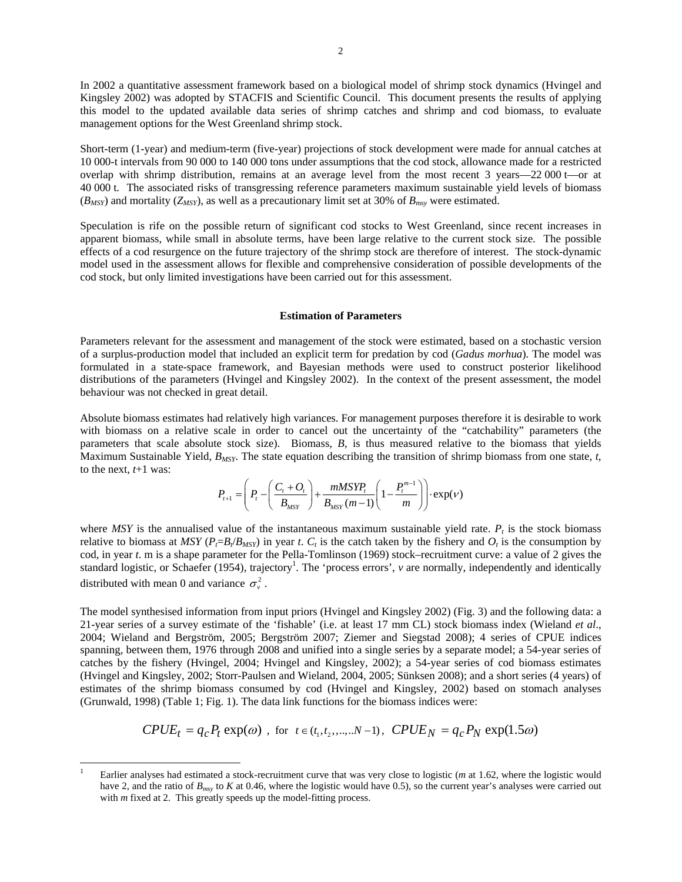In 2002 a quantitative assessment framework based on a biological model of shrimp stock dynamics (Hvingel and Kingsley 2002) was adopted by STACFIS and Scientific Council. This document presents the results of applying this model to the updated available data series of shrimp catches and shrimp and cod biomass, to evaluate management options for the West Greenland shrimp stock.

Short-term (1-year) and medium-term (five-year) projections of stock development were made for annual catches at 10 000-t intervals from 90 000 to 140 000 tons under assumptions that the cod stock, allowance made for a restricted overlap with shrimp distribution, remains at an average level from the most recent 3 years—22 000 t—or at 40 000 t. The associated risks of transgressing reference parameters maximum sustainable yield levels of biomass  $(B_{MSY})$  and mortality ( $Z_{MSY}$ ), as well as a precautionary limit set at 30% of  $B_{msv}$  were estimated.

Speculation is rife on the possible return of significant cod stocks to West Greenland, since recent increases in apparent biomass, while small in absolute terms, have been large relative to the current stock size. The possible effects of a cod resurgence on the future trajectory of the shrimp stock are therefore of interest. The stock-dynamic model used in the assessment allows for flexible and comprehensive consideration of possible developments of the cod stock, but only limited investigations have been carried out for this assessment.

#### **Estimation of Parameters**

Parameters relevant for the assessment and management of the stock were estimated, based on a stochastic version of a surplus-production model that included an explicit term for predation by cod (*Gadus morhua*). The model was formulated in a state-space framework, and Bayesian methods were used to construct posterior likelihood distributions of the parameters (Hvingel and Kingsley 2002). In the context of the present assessment, the model behaviour was not checked in great detail.

Absolute biomass estimates had relatively high variances. For management purposes therefore it is desirable to work with biomass on a relative scale in order to cancel out the uncertainty of the "catchability" parameters (the parameters that scale absolute stock size). Biomass, *B*, is thus measured relative to the biomass that yields Maximum Sustainable Yield, *BMSY*. The state equation describing the transition of shrimp biomass from one state, *t*, to the next,  $t+1$  was:

$$
P_{t+1} = \left(P_t - \left(\frac{C_t + O_t}{B_{MSY}}\right) + \frac{mMSYP_t}{B_{MSY}(m-1)} \left(1 - \frac{P_t^{m-1}}{m}\right)\right) \cdot \exp(V)
$$

where *MSY* is the annualised value of the instantaneous maximum sustainable yield rate.  $P_t$  is the stock biomass relative to biomass at *MSY* ( $P_f = B_f / B_{MSY}$ ) in year *t*.  $C_t$  is the catch taken by the fishery and  $O_t$  is the consumption by cod, in year *t*. m is a shape parameter for the Pella-Tomlinson (1969) stock–recruitment curve: a value of 2 gives the standard logistic, or Schaefer (1954), trajectory<sup>1</sup>. The 'process errors', *v* are normally, independently and identically distributed with mean 0 and variance  $\sigma_v^2$ .

The model synthesised information from input priors (Hvingel and Kingsley 2002) (Fig. 3) and the following data: a 21-year series of a survey estimate of the 'fishable' (i.e. at least 17 mm CL) stock biomass index (Wieland *et al*., 2004; Wieland and Bergström, 2005; Bergström 2007; Ziemer and Siegstad 2008); 4 series of CPUE indices spanning, between them, 1976 through 2008 and unified into a single series by a separate model; a 54-year series of catches by the fishery (Hvingel, 2004; Hvingel and Kingsley, 2002); a 54-year series of cod biomass estimates (Hvingel and Kingsley, 2002; Storr-Paulsen and Wieland, 2004, 2005; Sünksen 2008); and a short series (4 years) of estimates of the shrimp biomass consumed by cod (Hvingel and Kingsley, 2002) based on stomach analyses (Grunwald, 1998) (Table 1; Fig. 1). The data link functions for the biomass indices were:

$$
CPUE_t = q_c P_t \exp(\omega) , \text{ for } t \in (t_1, t_2, ..., N-1), \, CPUE_N = q_c P_N \exp(1.5\omega)
$$

 $\overline{a}$ 

<sup>1</sup> Earlier analyses had estimated a stock-recruitment curve that was very close to logistic (*m* at 1.62, where the logistic would have 2, and the ratio of  $B_{msy}$  to *K* at 0.46, where the logistic would have 0.5), so the current year's analyses were carried out with *m* fixed at 2. This greatly speeds up the model-fitting process.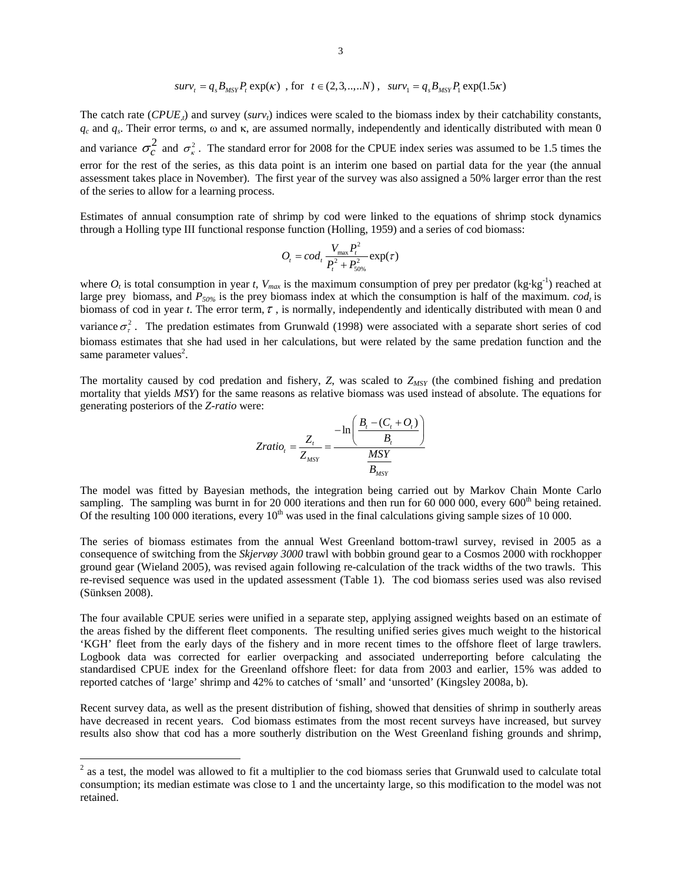$$
surv_t = q_s B_{MSY} P_t \exp(\kappa) , \text{ for } t \in (2, 3, ..., N), surv_1 = q_s B_{MSY} P_1 \exp(1.5\kappa)
$$

The catch rate  $(CPUE<sub>i</sub>)$  and survey ( $surv<sub>t</sub>$ ) indices were scaled to the biomass index by their catchability constants,  $q_c$  and  $q_s$ . Their error terms, ω and κ, are assumed normally, independently and identically distributed with mean 0 and variance  $\sigma_c^2$  and  $\sigma_{\kappa}^2$ . The standard error for 2008 for the CPUE index series was assumed to be 1.5 times the error for the rest of the series, as this data point is an interim one based on partial data for the year (the annual assessment takes place in November). The first year of the survey was also assigned a 50% larger error than the rest of the series to allow for a learning process.

Estimates of annual consumption rate of shrimp by cod were linked to the equations of shrimp stock dynamics through a Holling type III functional response function (Holling, 1959) and a series of cod biomass:

$$
O_t = cod_t \frac{V_{\text{max}} P_t^2}{P_t^2 + P_{50\%}^2} \exp(\tau)
$$

where  $O_t$  is total consumption in year *t*,  $V_{max}$  is the maximum consumption of prey per predator (kg·kg<sup>-1</sup>) reached at large prey biomass, and  $P_{50\%}$  is the prey biomass index at which the consumption is half of the maximum. *cod<sub>t</sub>* is biomass of cod in year *t*. The error term,  $\tau$ , is normally, independently and identically distributed with mean 0 and variance  $\sigma^2$ . The predation estimates from Grunwald (1998) were associated with a separate short series of cod biomass estimates that she had used in her calculations, but were related by the same predation function and the same parameter values<sup>2</sup>.

The mortality caused by cod predation and fishery, *Z*, was scaled to *Z<sub>MSY</sub>* (the combined fishing and predation mortality that yields *MSY*) for the same reasons as relative biomass was used instead of absolute. The equations for generating posteriors of the *Z-ratio* were:

$$
Zratio_{t} = \frac{Z_{t}}{Z_{MSY}} = \frac{-\ln\left(\frac{B_{t} - (C_{t} + O_{t})}{B_{t}}\right)}{\frac{MSY}{B_{MSY}}}
$$

The model was fitted by Bayesian methods, the integration being carried out by Markov Chain Monte Carlo sampling. The sampling was burnt in for 20 000 iterations and then run for 60 000 000, every  $600<sup>th</sup>$  being retained. Of the resulting 100 000 iterations, every  $10<sup>th</sup>$  was used in the final calculations giving sample sizes of 10 000.

The series of biomass estimates from the annual West Greenland bottom-trawl survey, revised in 2005 as a consequence of switching from the *Skjervøy 3000* trawl with bobbin ground gear to a Cosmos 2000 with rockhopper ground gear (Wieland 2005), was revised again following re-calculation of the track widths of the two trawls. This re-revised sequence was used in the updated assessment (Table 1). The cod biomass series used was also revised (Sünksen 2008).

The four available CPUE series were unified in a separate step, applying assigned weights based on an estimate of the areas fished by the different fleet components. The resulting unified series gives much weight to the historical 'KGH' fleet from the early days of the fishery and in more recent times to the offshore fleet of large trawlers. Logbook data was corrected for earlier overpacking and associated underreporting before calculating the standardised CPUE index for the Greenland offshore fleet: for data from 2003 and earlier, 15% was added to reported catches of 'large' shrimp and 42% to catches of 'small' and 'unsorted' (Kingsley 2008a, b).

Recent survey data, as well as the present distribution of fishing, showed that densities of shrimp in southerly areas have decreased in recent years. Cod biomass estimates from the most recent surveys have increased, but survey results also show that cod has a more southerly distribution on the West Greenland fishing grounds and shrimp,

 $\overline{a}$ 

 $2$  as a test, the model was allowed to fit a multiplier to the cod biomass series that Grunwald used to calculate total consumption; its median estimate was close to 1 and the uncertainty large, so this modification to the model was not retained.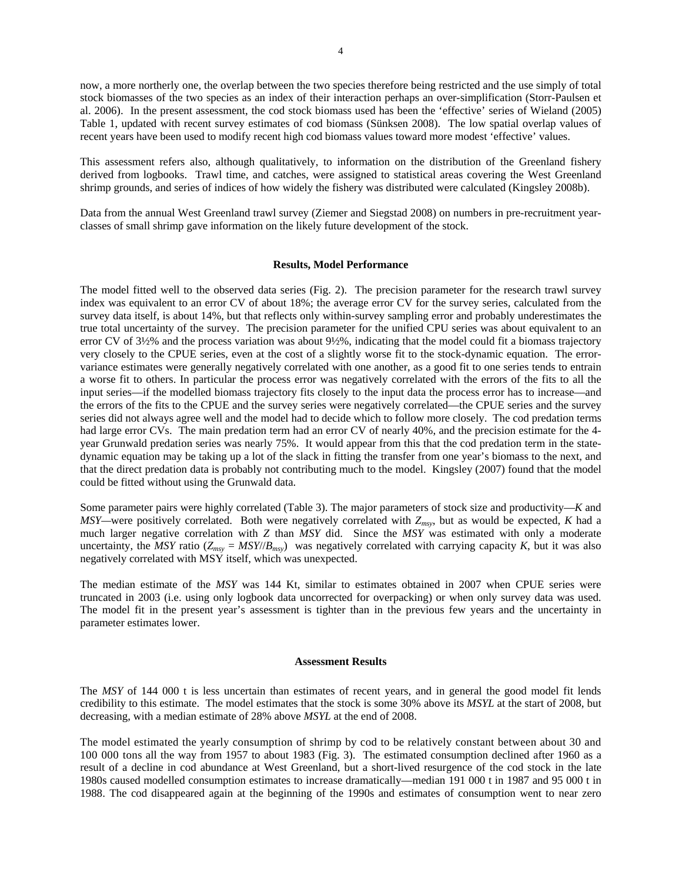now, a more northerly one, the overlap between the two species therefore being restricted and the use simply of total stock biomasses of the two species as an index of their interaction perhaps an over-simplification (Storr-Paulsen et al. 2006). In the present assessment, the cod stock biomass used has been the 'effective' series of Wieland (2005) Table 1, updated with recent survey estimates of cod biomass (Sünksen 2008). The low spatial overlap values of recent years have been used to modify recent high cod biomass values toward more modest 'effective' values.

This assessment refers also, although qualitatively, to information on the distribution of the Greenland fishery derived from logbooks. Trawl time, and catches, were assigned to statistical areas covering the West Greenland shrimp grounds, and series of indices of how widely the fishery was distributed were calculated (Kingsley 2008b).

Data from the annual West Greenland trawl survey (Ziemer and Siegstad 2008) on numbers in pre-recruitment yearclasses of small shrimp gave information on the likely future development of the stock.

#### **Results, Model Performance**

The model fitted well to the observed data series (Fig. 2). The precision parameter for the research trawl survey index was equivalent to an error CV of about 18%; the average error CV for the survey series, calculated from the survey data itself, is about 14%, but that reflects only within-survey sampling error and probably underestimates the true total uncertainty of the survey. The precision parameter for the unified CPU series was about equivalent to an error CV of 3½% and the process variation was about 9½%, indicating that the model could fit a biomass trajectory very closely to the CPUE series, even at the cost of a slightly worse fit to the stock-dynamic equation. The errorvariance estimates were generally negatively correlated with one another, as a good fit to one series tends to entrain a worse fit to others. In particular the process error was negatively correlated with the errors of the fits to all the input series—if the modelled biomass trajectory fits closely to the input data the process error has to increase—and the errors of the fits to the CPUE and the survey series were negatively correlated—the CPUE series and the survey series did not always agree well and the model had to decide which to follow more closely. The cod predation terms had large error CVs. The main predation term had an error CV of nearly 40%, and the precision estimate for the 4year Grunwald predation series was nearly 75%. It would appear from this that the cod predation term in the statedynamic equation may be taking up a lot of the slack in fitting the transfer from one year's biomass to the next, and that the direct predation data is probably not contributing much to the model. Kingsley (2007) found that the model could be fitted without using the Grunwald data.

Some parameter pairs were highly correlated (Table 3). The major parameters of stock size and productivity—*K* and *MSY—*were positively correlated. Both were negatively correlated with *Zmsy*, but as would be expected, *K* had a much larger negative correlation with *Z* than *MSY* did. Since the *MSY* was estimated with only a moderate uncertainty, the *MSY* ratio ( $Z_{msy} = MSY/B_{msy}$ ) was negatively correlated with carrying capacity *K*, but it was also negatively correlated with MSY itself, which was unexpected.

The median estimate of the *MSY* was 144 Kt, similar to estimates obtained in 2007 when CPUE series were truncated in 2003 (i.e. using only logbook data uncorrected for overpacking) or when only survey data was used. The model fit in the present year's assessment is tighter than in the previous few years and the uncertainty in parameter estimates lower.

#### **Assessment Results**

The *MSY* of 144 000 t is less uncertain than estimates of recent years, and in general the good model fit lends credibility to this estimate. The model estimates that the stock is some 30% above its *MSYL* at the start of 2008, but decreasing, with a median estimate of 28% above *MSYL* at the end of 2008.

The model estimated the yearly consumption of shrimp by cod to be relatively constant between about 30 and 100 000 tons all the way from 1957 to about 1983 (Fig. 3). The estimated consumption declined after 1960 as a result of a decline in cod abundance at West Greenland, but a short-lived resurgence of the cod stock in the late 1980s caused modelled consumption estimates to increase dramatically—median 191 000 t in 1987 and 95 000 t in 1988. The cod disappeared again at the beginning of the 1990s and estimates of consumption went to near zero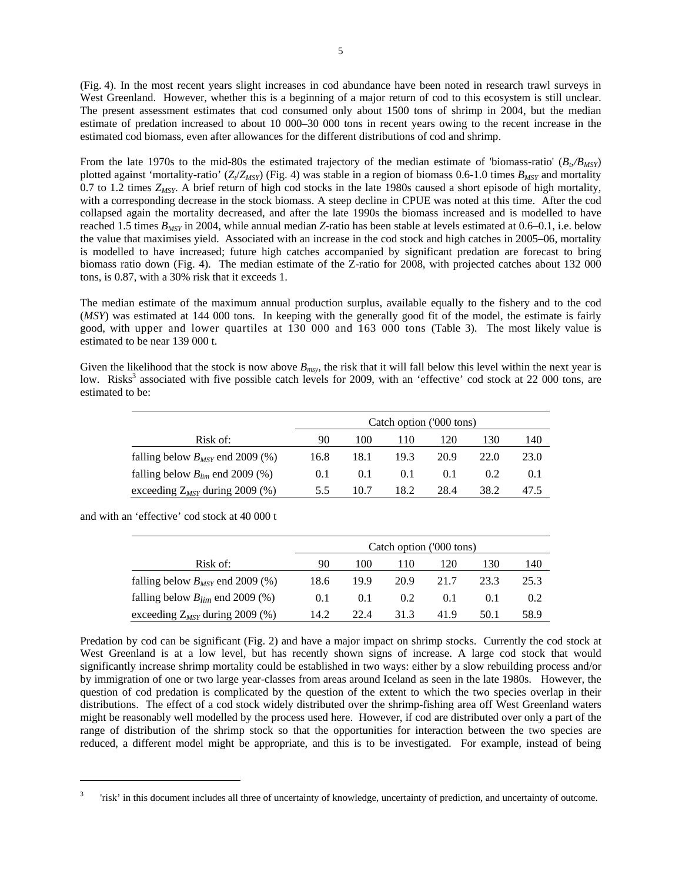(Fig. 4). In the most recent years slight increases in cod abundance have been noted in research trawl surveys in West Greenland. However, whether this is a beginning of a major return of cod to this ecosystem is still unclear. The present assessment estimates that cod consumed only about 1500 tons of shrimp in 2004, but the median estimate of predation increased to about 10 000–30 000 tons in recent years owing to the recent increase in the estimated cod biomass, even after allowances for the different distributions of cod and shrimp.

From the late 1970s to the mid-80s the estimated trajectory of the median estimate of 'biomass-ratio'  $(B_p/B_{MSP})$ plotted against 'mortality-ratio'  $(Z/Z_{MSY})$  (Fig. 4) was stable in a region of biomass 0.6-1.0 times  $B_{MSY}$  and mortality  $0.7$  to 1.2 times  $Z_{MSY}$ . A brief return of high cod stocks in the late 1980s caused a short episode of high mortality, with a corresponding decrease in the stock biomass. A steep decline in CPUE was noted at this time. After the cod collapsed again the mortality decreased, and after the late 1990s the biomass increased and is modelled to have reached 1.5 times *BMSY* in 2004, while annual median *Z*-ratio has been stable at levels estimated at 0.6–0.1, i.e. below the value that maximises yield. Associated with an increase in the cod stock and high catches in 2005–06, mortality is modelled to have increased; future high catches accompanied by significant predation are forecast to bring biomass ratio down (Fig. 4). The median estimate of the Z-ratio for 2008, with projected catches about 132 000 tons, is 0.87, with a 30% risk that it exceeds 1.

The median estimate of the maximum annual production surplus, available equally to the fishery and to the cod (*MSY*) was estimated at 144 000 tons. In keeping with the generally good fit of the model, the estimate is fairly good, with upper and lower quartiles at 130 000 and 163 000 tons (Table 3). The most likely value is estimated to be near 139 000 t.

Given the likelihood that the stock is now above  $B_{msv}$ , the risk that it will fall below this level within the next year is low. Risks<sup>3</sup> associated with five possible catch levels for 2009, with an 'effective' cod stock at 22 000 tons, are estimated to be:

|                                      |      |      |      | Catch option ('000 tons) |      |      |
|--------------------------------------|------|------|------|--------------------------|------|------|
| Risk of:                             | 90   | 100  | 110  | 120                      | 130  | 140  |
| falling below $B_{MSY}$ end 2009 (%) | 16.8 | 18.1 | 19.3 | 20.9                     | 22.0 | 23.0 |
| falling below $B_{lim}$ end 2009 (%) | 0.1  | 0.1  | 0.1  | 0.1                      | 0.2  | 0.1  |
| exceeding $Z_{MSY}$ during 2009 (%)  | 5.5  | 10.7 | 18.2 | 28.4                     | 38.2 |      |

and with an 'effective' cod stock at 40 000 t

 $\overline{a}$ 

|                                      |      | Catch option ('000 tons) |               |      |      |      |  |  |  |
|--------------------------------------|------|--------------------------|---------------|------|------|------|--|--|--|
| Risk of:                             | 90   | 100                      | 110           | 120  | 130  | 140  |  |  |  |
| falling below $B_{MSY}$ end 2009 (%) | 18.6 | 19.9                     | 20.9          | 21.7 | 23.3 | 25.3 |  |  |  |
| falling below $B_{lim}$ end 2009 (%) | 0.1  | 0.1                      | $0.2^{\circ}$ | 0.1  |      | 0.2  |  |  |  |
| exceeding $Z_{MSY}$ during 2009 (%)  | 14.2 | 22.4                     | 31.3          | 41.9 | 50.1 | 58.9 |  |  |  |

Predation by cod can be significant (Fig. 2) and have a major impact on shrimp stocks. Currently the cod stock at West Greenland is at a low level, but has recently shown signs of increase. A large cod stock that would significantly increase shrimp mortality could be established in two ways: either by a slow rebuilding process and/or by immigration of one or two large year-classes from areas around Iceland as seen in the late 1980s. However, the question of cod predation is complicated by the question of the extent to which the two species overlap in their distributions. The effect of a cod stock widely distributed over the shrimp-fishing area off West Greenland waters might be reasonably well modelled by the process used here. However, if cod are distributed over only a part of the range of distribution of the shrimp stock so that the opportunities for interaction between the two species are reduced, a different model might be appropriate, and this is to be investigated. For example, instead of being

<sup>3</sup> 'risk' in this document includes all three of uncertainty of knowledge, uncertainty of prediction, and uncertainty of outcome.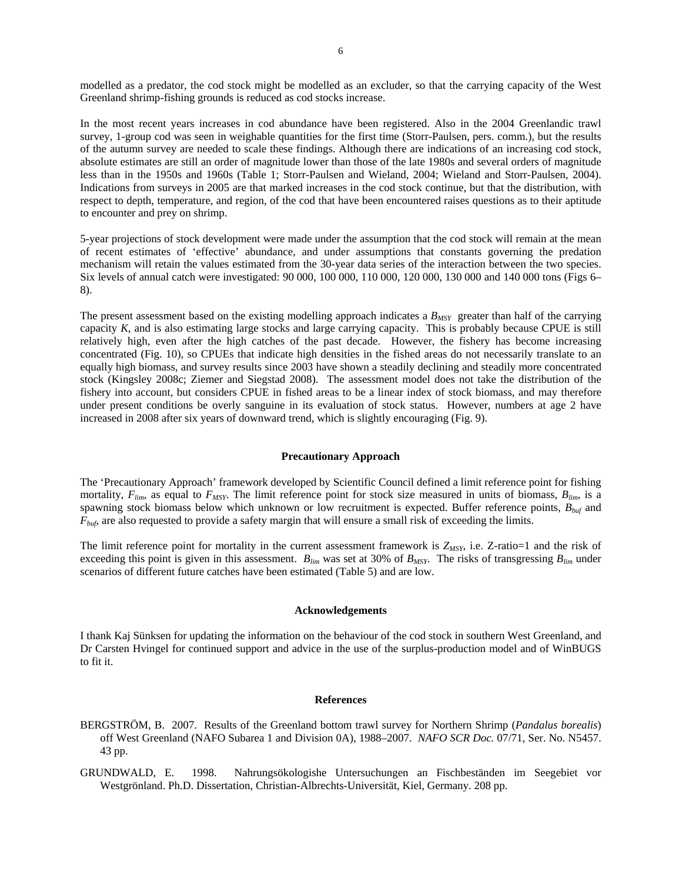modelled as a predator, the cod stock might be modelled as an excluder, so that the carrying capacity of the West Greenland shrimp-fishing grounds is reduced as cod stocks increase.

In the most recent years increases in cod abundance have been registered. Also in the 2004 Greenlandic trawl survey, 1-group cod was seen in weighable quantities for the first time (Storr-Paulsen, pers. comm.), but the results of the autumn survey are needed to scale these findings. Although there are indications of an increasing cod stock, absolute estimates are still an order of magnitude lower than those of the late 1980s and several orders of magnitude less than in the 1950s and 1960s (Table 1; Storr-Paulsen and Wieland, 2004; Wieland and Storr-Paulsen, 2004). Indications from surveys in 2005 are that marked increases in the cod stock continue, but that the distribution, with respect to depth, temperature, and region, of the cod that have been encountered raises questions as to their aptitude to encounter and prey on shrimp.

5-year projections of stock development were made under the assumption that the cod stock will remain at the mean of recent estimates of 'effective' abundance, and under assumptions that constants governing the predation mechanism will retain the values estimated from the 30-year data series of the interaction between the two species. Six levels of annual catch were investigated: 90 000, 100 000, 110 000, 120 000, 130 000 and 140 000 tons (Figs 6– 8).

The present assessment based on the existing modelling approach indicates a  $B_{MSY}$  greater than half of the carrying capacity *K*, and is also estimating large stocks and large carrying capacity. This is probably because CPUE is still relatively high, even after the high catches of the past decade. However, the fishery has become increasing concentrated (Fig. 10), so CPUEs that indicate high densities in the fished areas do not necessarily translate to an equally high biomass, and survey results since 2003 have shown a steadily declining and steadily more concentrated stock (Kingsley 2008c; Ziemer and Siegstad 2008). The assessment model does not take the distribution of the fishery into account, but considers CPUE in fished areas to be a linear index of stock biomass, and may therefore under present conditions be overly sanguine in its evaluation of stock status. However, numbers at age 2 have increased in 2008 after six years of downward trend, which is slightly encouraging (Fig. 9).

## **Precautionary Approach**

The 'Precautionary Approach' framework developed by Scientific Council defined a limit reference point for fishing mortality,  $F_{lim}$ , as equal to  $F_{MSY}$ . The limit reference point for stock size measured in units of biomass,  $B_{lim}$ , is a spawning stock biomass below which unknown or low recruitment is expected. Buffer reference points, *Bbuf* and *F<sub>buf</sub>*, are also requested to provide a safety margin that will ensure a small risk of exceeding the limits.

The limit reference point for mortality in the current assessment framework is  $Z_{MSY}$ , i.e.  $Z$ -ratio=1 and the risk of exceeding this point is given in this assessment.  $B_{lim}$  was set at 30% of  $B_{MSY}$ . The risks of transgressing  $B_{lim}$  under scenarios of different future catches have been estimated (Table 5) and are low.

#### **Acknowledgements**

I thank Kaj Sünksen for updating the information on the behaviour of the cod stock in southern West Greenland, and Dr Carsten Hvingel for continued support and advice in the use of the surplus-production model and of WinBUGS to fit it.

#### **References**

BERGSTRÖM, B. 2007. Results of the Greenland bottom trawl survey for Northern Shrimp (*Pandalus borealis*) off West Greenland (NAFO Subarea 1 and Division 0A), 1988–2007. *NAFO SCR Doc.* 07/71, Ser. No. N5457. 43 pp.

GRUNDWALD, E. 1998. Nahrungsökologishe Untersuchungen an Fischbeständen im Seegebiet vor Westgrönland. Ph.D. Dissertation, Christian-Albrechts-Universität, Kiel, Germany. 208 pp.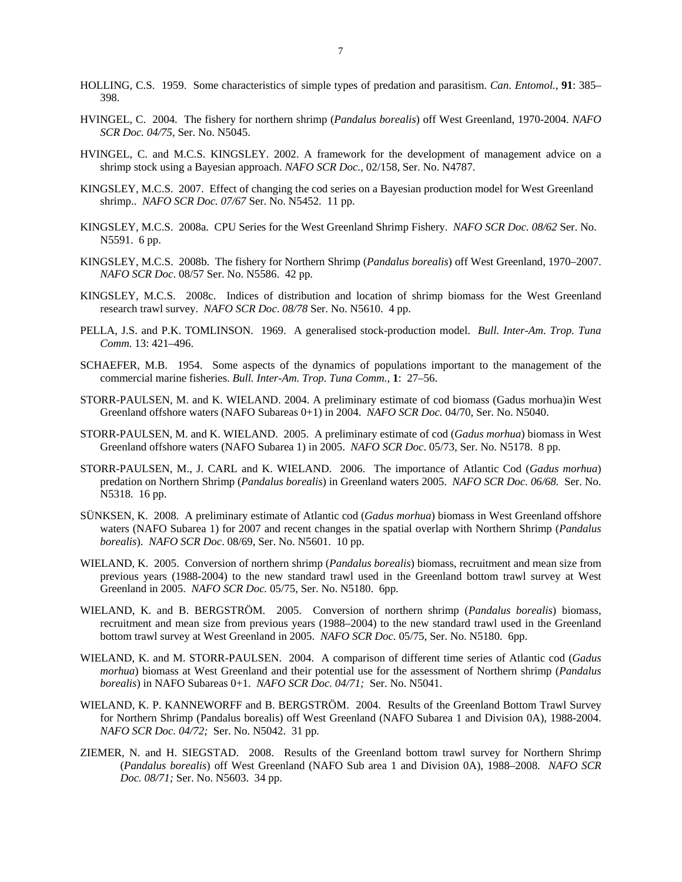- HOLLING, C.S. 1959. Some characteristics of simple types of predation and parasitism. *Can. Entomol.*, **91**: 385– 398.
- HVINGEL, C. 2004. The fishery for northern shrimp (*Pandalus borealis*) off West Greenland, 1970-2004. *NAFO SCR Doc. 04/75*, Ser. No. N5045.
- HVINGEL, C. and M.C.S. KINGSLEY. 2002. A framework for the development of management advice on a shrimp stock using a Bayesian approach. *NAFO SCR Doc.,* 02/158, Ser. No. N4787.
- KINGSLEY, M.C.S. 2007. Effect of changing the cod series on a Bayesian production model for West Greenland shrimp.. *NAFO SCR Doc. 07/67* Ser. No. N5452. 11 pp.
- KINGSLEY, M.C.S. 2008a. CPU Series for the West Greenland Shrimp Fishery. *NAFO SCR Doc. 08/62* Ser. No. N5591. 6 pp.
- KINGSLEY, M.C.S. 2008b. The fishery for Northern Shrimp (*Pandalus borealis*) off West Greenland, 1970–2007. *NAFO SCR Doc*. 08/57 Ser. No. N5586. 42 pp.
- KINGSLEY, M.C.S. 2008c. Indices of distribution and location of shrimp biomass for the West Greenland research trawl survey. *NAFO SCR Doc*. *08/78* Ser. No. N5610. 4 pp.
- PELLA, J.S. and P.K. TOMLINSON. 1969. A generalised stock-production model. *Bull. Inter-Am. Trop. Tuna Comm.* 13: 421–496.
- SCHAEFER, M.B. 1954. Some aspects of the dynamics of populations important to the management of the commercial marine fisheries. *Bull. Inter-Am. Trop. Tuna Comm.*, **1**: 27–56.
- STORR-PAULSEN, M. and K. WIELAND. 2004. A preliminary estimate of cod biomass (Gadus morhua)in West Greenland offshore waters (NAFO Subareas 0+1) in 2004. *NAFO SCR Doc.* 04/70, Ser. No. N5040.
- STORR-PAULSEN, M. and K. WIELAND. 2005. A preliminary estimate of cod (*Gadus morhua*) biomass in West Greenland offshore waters (NAFO Subarea 1) in 2005. *NAFO SCR Doc*. 05/73, Ser. No. N5178. 8 pp.
- STORR-PAULSEN, M., J. CARL and K. WIELAND. 2006. The importance of Atlantic Cod (*Gadus morhua*) predation on Northern Shrimp (*Pandalus borealis*) in Greenland waters 2005. *NAFO SCR Doc. 06/68.* Ser. No. N5318. 16 pp.
- SÜNKSEN, K. 2008. A preliminary estimate of Atlantic cod (*Gadus morhua*) biomass in West Greenland offshore waters (NAFO Subarea 1) for 2007 and recent changes in the spatial overlap with Northern Shrimp (*Pandalus borealis*). *NAFO SCR Doc*. 08/69, Ser. No. N5601. 10 pp.
- WIELAND, K. 2005. Conversion of northern shrimp (*Pandalus borealis*) biomass, recruitment and mean size from previous years (1988-2004) to the new standard trawl used in the Greenland bottom trawl survey at West Greenland in 2005. *NAFO SCR Doc.* 05/75, Ser. No. N5180. 6pp.
- WIELAND, K. and B. BERGSTRÖM. 2005. Conversion of northern shrimp (*Pandalus borealis*) biomass, recruitment and mean size from previous years (1988–2004) to the new standard trawl used in the Greenland bottom trawl survey at West Greenland in 2005. *NAFO SCR Doc.* 05/75, Ser. No. N5180. 6pp.
- WIELAND, K. and M. STORR-PAULSEN. 2004. A comparison of different time series of Atlantic cod (*Gadus morhua*) biomass at West Greenland and their potential use for the assessment of Northern shrimp (*Pandalus borealis*) in NAFO Subareas 0+1. *NAFO SCR Doc. 04/71;* Ser. No. N5041.
- WIELAND, K. P. KANNEWORFF and B. BERGSTRÖM. 2004. Results of the Greenland Bottom Trawl Survey for Northern Shrimp (Pandalus borealis) off West Greenland (NAFO Subarea 1 and Division 0A), 1988-2004. *NAFO SCR Doc. 04/72;* Ser. No. N5042. 31 pp.
- ZIEMER, N. and H. SIEGSTAD. 2008. Results of the Greenland bottom trawl survey for Northern Shrimp (*Pandalus borealis*) off West Greenland (NAFO Sub area 1 and Division 0A), 1988–2008. *NAFO SCR Doc. 08/71;* Ser. No. N5603. 34 pp.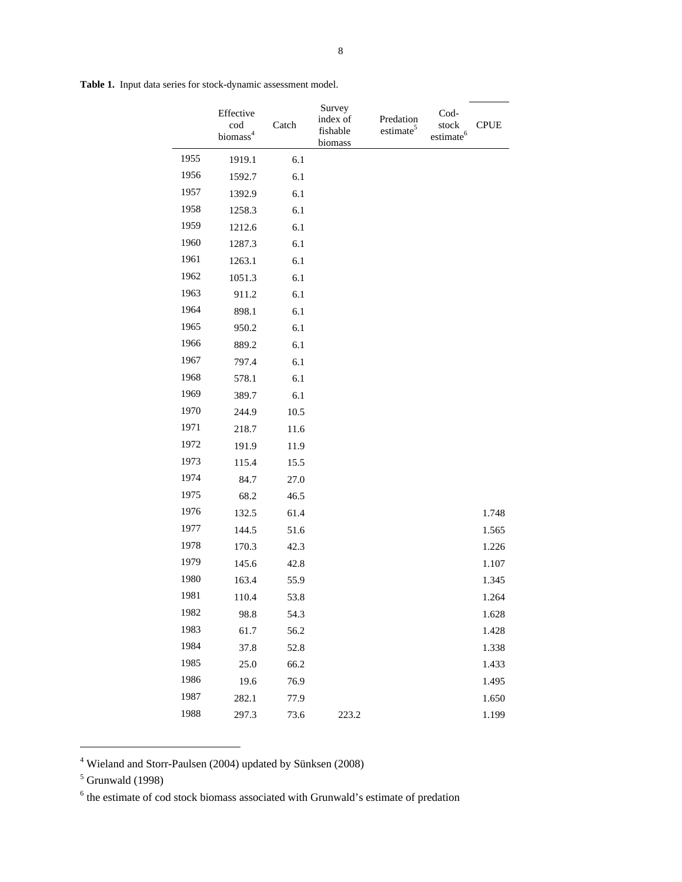**Table 1.** Input data series for stock-dynamic assessment model.

|      | Effective<br>cod<br>biomass <sup>4</sup> | Catch   | Survey<br>index of<br>fishable<br>biomass | Predation<br>estimate <sup>5</sup> | Cod-<br>stock<br>estimate <sup>6</sup> | <b>CPUE</b> |
|------|------------------------------------------|---------|-------------------------------------------|------------------------------------|----------------------------------------|-------------|
| 1955 | 1919.1                                   | 6.1     |                                           |                                    |                                        |             |
| 1956 | 1592.7                                   | 6.1     |                                           |                                    |                                        |             |
| 1957 | 1392.9                                   | 6.1     |                                           |                                    |                                        |             |
| 1958 | 1258.3                                   | 6.1     |                                           |                                    |                                        |             |
| 1959 | 1212.6                                   | 6.1     |                                           |                                    |                                        |             |
| 1960 | 1287.3                                   | 6.1     |                                           |                                    |                                        |             |
| 1961 | 1263.1                                   | 6.1     |                                           |                                    |                                        |             |
| 1962 | 1051.3                                   | $6.1\,$ |                                           |                                    |                                        |             |
| 1963 | 911.2                                    | 6.1     |                                           |                                    |                                        |             |
| 1964 | 898.1                                    | $6.1\,$ |                                           |                                    |                                        |             |
| 1965 | 950.2                                    | 6.1     |                                           |                                    |                                        |             |
| 1966 | 889.2                                    | $6.1\,$ |                                           |                                    |                                        |             |
| 1967 | 797.4                                    | 6.1     |                                           |                                    |                                        |             |
| 1968 | 578.1                                    | 6.1     |                                           |                                    |                                        |             |
| 1969 | 389.7                                    | 6.1     |                                           |                                    |                                        |             |
| 1970 | 244.9                                    | 10.5    |                                           |                                    |                                        |             |
| 1971 | 218.7                                    | 11.6    |                                           |                                    |                                        |             |
| 1972 | 191.9                                    | 11.9    |                                           |                                    |                                        |             |
| 1973 | 115.4                                    | 15.5    |                                           |                                    |                                        |             |
| 1974 | 84.7                                     | 27.0    |                                           |                                    |                                        |             |
| 1975 | 68.2                                     | 46.5    |                                           |                                    |                                        |             |
| 1976 | 132.5                                    | 61.4    |                                           |                                    |                                        | 1.748       |
| 1977 | 144.5                                    | 51.6    |                                           |                                    |                                        | 1.565       |
| 1978 | 170.3                                    | 42.3    |                                           |                                    |                                        | 1.226       |
| 1979 | 145.6                                    | 42.8    |                                           |                                    |                                        | 1.107       |
| 1980 | 163.4                                    | 55.9    |                                           |                                    |                                        | 1.345       |
| 1981 | 110.4                                    | 53.8    |                                           |                                    |                                        | 1.264       |
| 1982 | 98.8                                     | 54.3    |                                           |                                    |                                        | 1.628       |
| 1983 | 61.7                                     | 56.2    |                                           |                                    |                                        | 1.428       |
| 1984 | 37.8                                     | 52.8    |                                           |                                    |                                        | 1.338       |
| 1985 | 25.0                                     | 66.2    |                                           |                                    |                                        | 1.433       |
| 1986 | 19.6                                     | 76.9    |                                           |                                    |                                        | 1.495       |
| 1987 | 282.1                                    | 77.9    |                                           |                                    |                                        | 1.650       |
| 1988 | 297.3                                    | 73.6    | 223.2                                     |                                    |                                        | 1.199       |

<sup>4</sup> Wieland and Storr-Paulsen (2004) updated by Sünksen (2008)

 $\overline{a}$ 

 $<sup>5</sup>$  Grunwald (1998)</sup>

<sup>&</sup>lt;sup>6</sup> the estimate of cod stock biomass associated with Grunwald's estimate of predation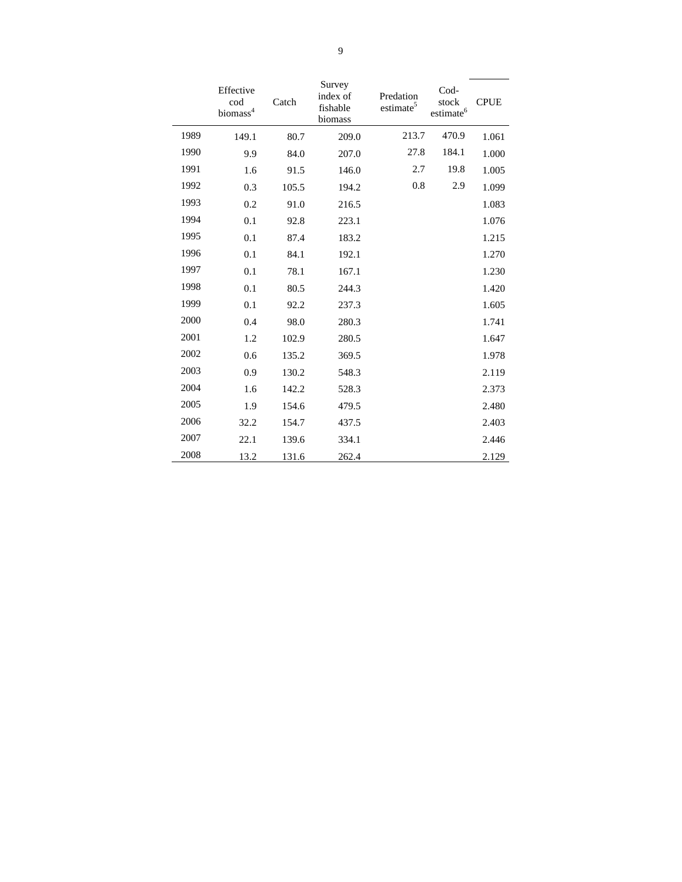|      | Effective<br>cod<br>biomass <sup>4</sup> | Catch | Survey<br>index of<br>fishable<br>biomass | Predation<br>estimate <sup>5</sup> | Cod-<br>stock<br>$\rm estimate^6$ | <b>CPUE</b> |
|------|------------------------------------------|-------|-------------------------------------------|------------------------------------|-----------------------------------|-------------|
| 1989 | 149.1                                    | 80.7  | 209.0                                     | 213.7                              | 470.9                             | 1.061       |
| 1990 | 9.9                                      | 84.0  | 207.0                                     | 27.8                               | 184.1                             | 1.000       |
| 1991 | 1.6                                      | 91.5  | 146.0                                     | 2.7                                | 19.8                              | 1.005       |
| 1992 | 0.3                                      | 105.5 | 194.2                                     | 0.8                                | 2.9                               | 1.099       |
| 1993 | 0.2                                      | 91.0  | 216.5                                     |                                    |                                   | 1.083       |
| 1994 | 0.1                                      | 92.8  | 223.1                                     |                                    |                                   | 1.076       |
| 1995 | 0.1                                      | 87.4  | 183.2                                     |                                    |                                   | 1.215       |
| 1996 | 0.1                                      | 84.1  | 192.1                                     |                                    |                                   | 1.270       |
| 1997 | 0.1                                      | 78.1  | 167.1                                     |                                    |                                   | 1.230       |
| 1998 | 0.1                                      | 80.5  | 244.3                                     |                                    |                                   | 1.420       |
| 1999 | 0.1                                      | 92.2  | 237.3                                     |                                    |                                   | 1.605       |
| 2000 | 0.4                                      | 98.0  | 280.3                                     |                                    |                                   | 1.741       |
| 2001 | 1.2                                      | 102.9 | 280.5                                     |                                    |                                   | 1.647       |
| 2002 | 0.6                                      | 135.2 | 369.5                                     |                                    |                                   | 1.978       |
| 2003 | 0.9                                      | 130.2 | 548.3                                     |                                    |                                   | 2.119       |
| 2004 | 1.6                                      | 142.2 | 528.3                                     |                                    |                                   | 2.373       |
| 2005 | 1.9                                      | 154.6 | 479.5                                     |                                    |                                   | 2.480       |
| 2006 | 32.2                                     | 154.7 | 437.5                                     |                                    |                                   | 2.403       |
| 2007 | 22.1                                     | 139.6 | 334.1                                     |                                    |                                   | 2.446       |
| 2008 | 13.2                                     | 131.6 | 262.4                                     |                                    |                                   | 2.129       |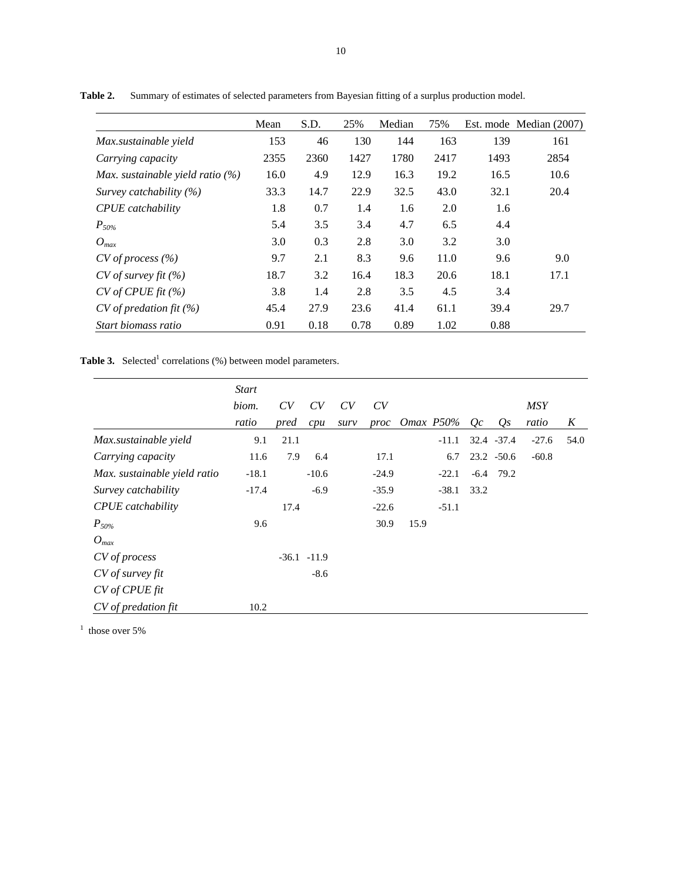|                                    | Mean | S.D. | 25%  | Median | 75%  |      | Est. mode Median (2007) |
|------------------------------------|------|------|------|--------|------|------|-------------------------|
| Max.sustainable yield              | 153  | 46   | 130  | 144    | 163  | 139  | 161                     |
| Carrying capacity                  | 2355 | 2360 | 1427 | 1780   | 2417 | 1493 | 2854                    |
| Max. sustainable yield ratio $(%)$ | 16.0 | 4.9  | 12.9 | 16.3   | 19.2 | 16.5 | 10.6                    |
| Survey catchability $(%)$          | 33.3 | 14.7 | 22.9 | 32.5   | 43.0 | 32.1 | 20.4                    |
| <b>CPUE</b> catchability           | 1.8  | 0.7  | 1.4  | 1.6    | 2.0  | 1.6  |                         |
| $P_{50\%}$                         | 5.4  | 3.5  | 3.4  | 4.7    | 6.5  | 4.4  |                         |
| $O_{max}$                          | 3.0  | 0.3  | 2.8  | 3.0    | 3.2  | 3.0  |                         |
| $CV$ of process $(\% )$            | 9.7  | 2.1  | 8.3  | 9.6    | 11.0 | 9.6  | 9.0                     |
| $CV$ of survey fit $(\% )$         | 18.7 | 3.2  | 16.4 | 18.3   | 20.6 | 18.1 | 17.1                    |
| CV of CPUE fit (%)                 | 3.8  | 1.4  | 2.8  | 3.5    | 4.5  | 3.4  |                         |
| $CV$ of predation fit $(\%)$       | 45.4 | 27.9 | 23.6 | 41.4   | 61.1 | 39.4 | 29.7                    |
| Start biomass ratio                | 0.91 | 0.18 | 0.78 | 0.89   | 1.02 | 0.88 |                         |

**Table 2.** Summary of estimates of selected parameters from Bayesian fitting of a surplus production model.

**Table 3.** Selected<sup>1</sup> correlations (%) between model parameters.

|                              | <b>Start</b> |      |               |      |         |      |                    |      |              |            |      |
|------------------------------|--------------|------|---------------|------|---------|------|--------------------|------|--------------|------------|------|
|                              | biom.        | CV   | CV            | CV   | CV      |      |                    |      |              | <b>MSY</b> |      |
|                              | ratio        | pred | cpu           | surv | proc    |      | <i>Omax</i> $P50%$ | Oc   | $Q_{S}$      | ratio      | K    |
| Max.sustainable yield        | 9.1          | 21.1 |               |      |         |      | $-11.1$            |      | 32.4 - 37.4  | $-27.6$    | 54.0 |
| Carrying capacity            | 11.6         | 7.9  | 6.4           |      | 17.1    |      | 6.7                |      | $23.2 -50.6$ | $-60.8$    |      |
| Max. sustainable yield ratio | $-18.1$      |      | $-10.6$       |      | $-24.9$ |      | $-22.1$            |      | $-6.4$ 79.2  |            |      |
| Survey catchability          | $-17.4$      |      | $-6.9$        |      | $-35.9$ |      | $-38.1$            | 33.2 |              |            |      |
| <b>CPUE</b> catchability     |              | 17.4 |               |      | $-22.6$ |      | $-51.1$            |      |              |            |      |
| $P_{50\%}$                   | 9.6          |      |               |      | 30.9    | 15.9 |                    |      |              |            |      |
| $O_{max}$                    |              |      |               |      |         |      |                    |      |              |            |      |
| CV of process                |              |      | $-36.1 -11.9$ |      |         |      |                    |      |              |            |      |
| $CV$ of survey fit           |              |      | $-8.6$        |      |         |      |                    |      |              |            |      |
| CV of CPUs fit               |              |      |               |      |         |      |                    |      |              |            |      |
| CV of predation fit          | 10.2         |      |               |      |         |      |                    |      |              |            |      |

 $<sup>1</sup>$  those over 5%</sup>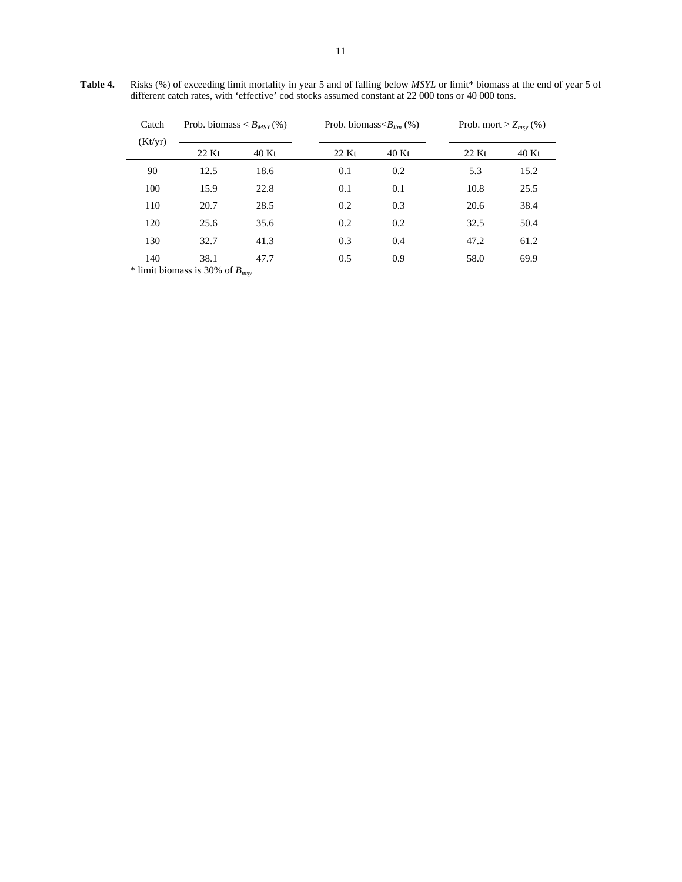**Table 4.** Risks (%) of exceeding limit mortality in year 5 and of falling below *MSYL* or limit\* biomass at the end of year 5 of different catch rates, with 'effective' cod stocks assumed constant at 22 000 tons or 40 000 tons.

| Catch<br>(Kt/yr) |       | Prob. biomass $\langle B_{MSY}(\%)\rangle$ |       | Prob. biomass $\langle B_{lim} (\% )$ |       | Prob. mort > $Z_{msv}$ (%) |
|------------------|-------|--------------------------------------------|-------|---------------------------------------|-------|----------------------------|
|                  | 22 Kt | 40 Kt                                      | 22 Kt | 40 Kt                                 | 22 Kt | 40 Kt                      |
| 90               | 12.5  | 18.6                                       | 0.1   | 0.2                                   | 5.3   | 15.2                       |
| 100              | 15.9  | 22.8                                       | 0.1   | 0.1                                   | 10.8  | 25.5                       |
| 110              | 20.7  | 28.5                                       | 0.2   | 0.3                                   | 20.6  | 38.4                       |
| 120              | 25.6  | 35.6                                       | 0.2   | 0.2                                   | 32.5  | 50.4                       |
| 130              | 32.7  | 41.3                                       | 0.3   | 0.4                                   | 47.2  | 61.2                       |
| 140              | 38.1  | 47.7                                       | 0.5   | 0.9                                   | 58.0  | 69.9                       |

 $\frac{1}{2}$  limit biomass is 30% of  $B_{msy}$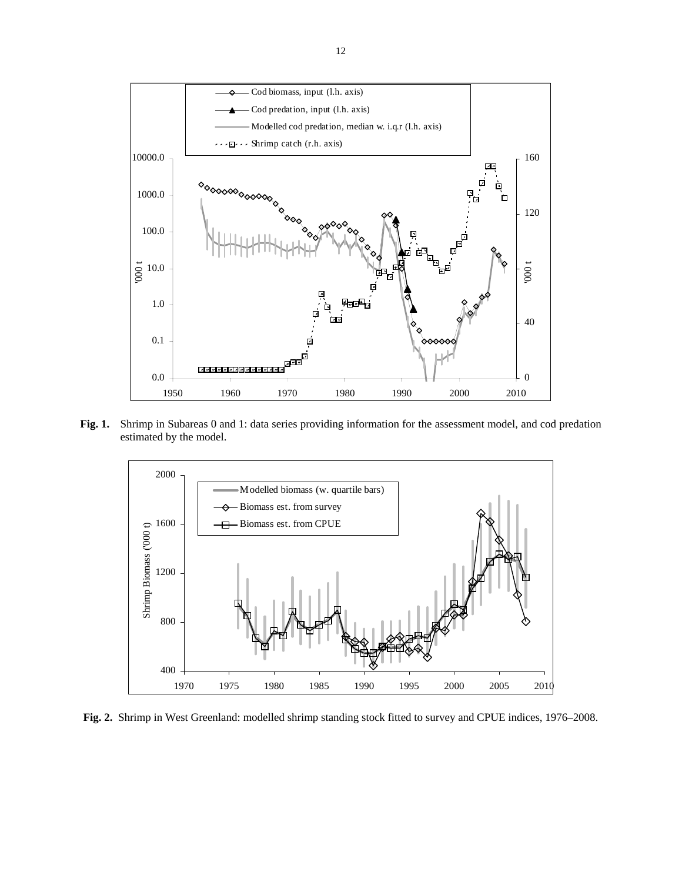

**Fig. 1.** Shrimp in Subareas 0 and 1: data series providing information for the assessment model, and cod predation estimated by the model.



**Fig. 2.** Shrimp in West Greenland: modelled shrimp standing stock fitted to survey and CPUE indices, 1976–2008.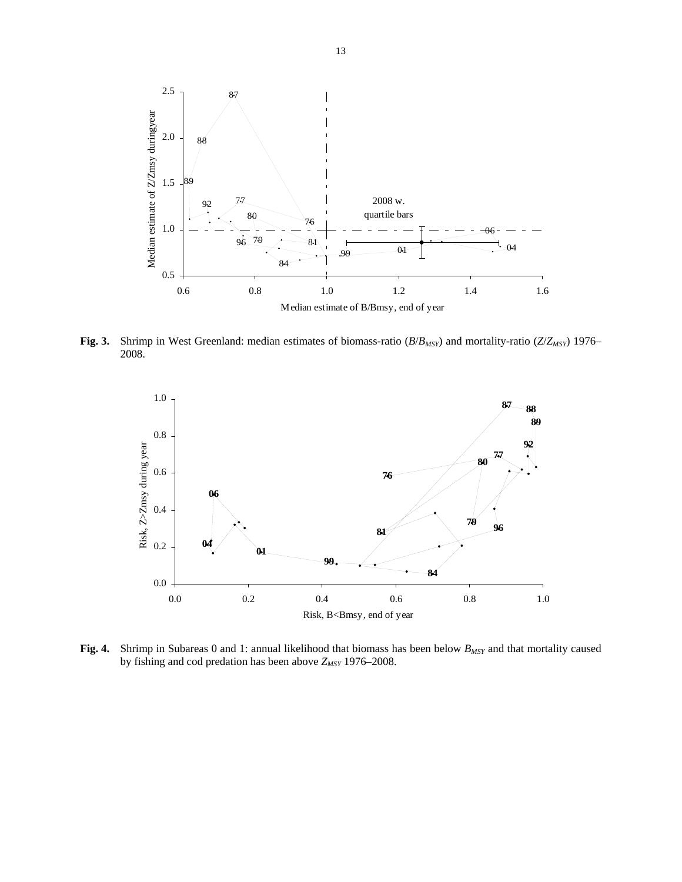

**Fig. 3.** Shrimp in West Greenland: median estimates of biomass-ratio (*B*/*BMSY*) and mortality-ratio (*Z*/*ZMSY*) 1976– 2008.



**Fig. 4.** Shrimp in Subareas 0 and 1: annual likelihood that biomass has been below  $B_{MSY}$  and that mortality caused by fishing and cod predation has been above  $Z_{MSY}$  1976–2008.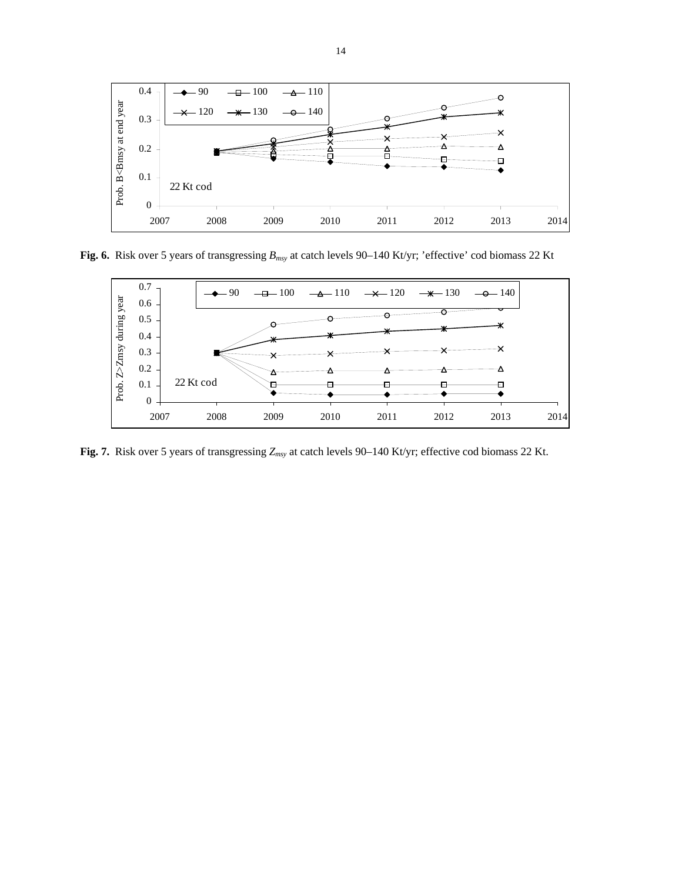

**Fig. 6.** Risk over 5 years of transgressing *Bmsy* at catch levels 90–140 Kt/yr; 'effective' cod biomass 22 Kt



**Fig. 7.** Risk over 5 years of transgressing *Zmsy* at catch levels 90–140 Kt/yr; effective cod biomass 22 Kt.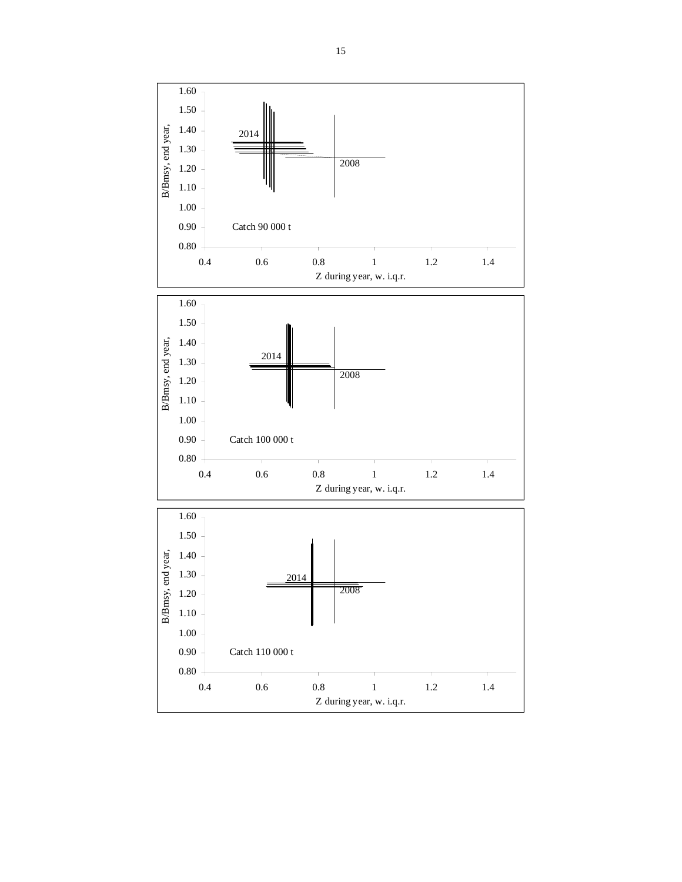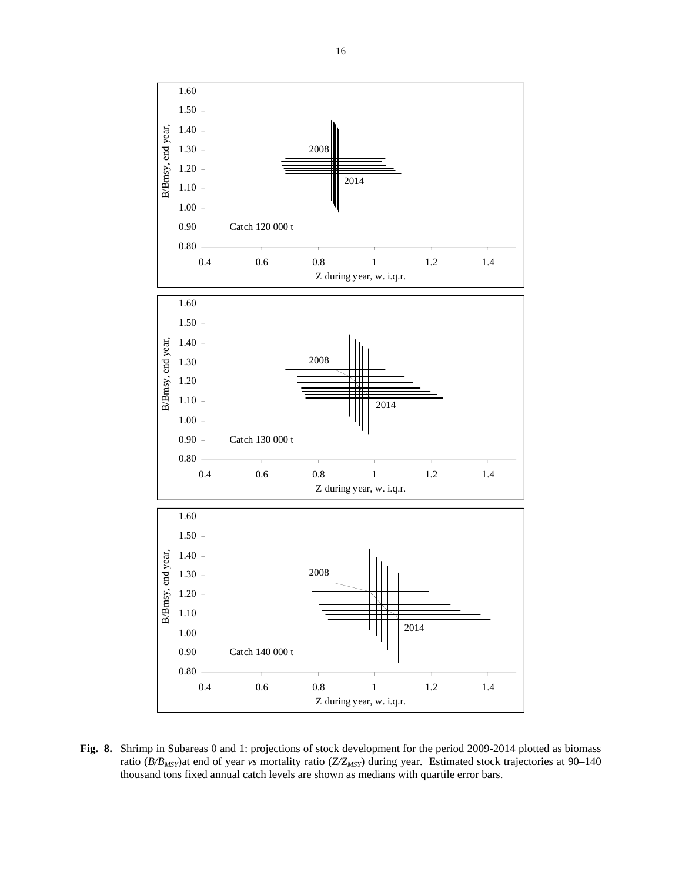

**Fig. 8.** Shrimp in Subareas 0 and 1: projections of stock development for the period 2009-2014 plotted as biomass ratio (*B/B<sub>MSY</sub>*)at end of year *vs* mortality ratio (*Z/Z<sub>MSY</sub>*) during year. Estimated stock trajectories at 90–140 thousand tons fixed annual catch levels are shown as medians with quartile error bars.